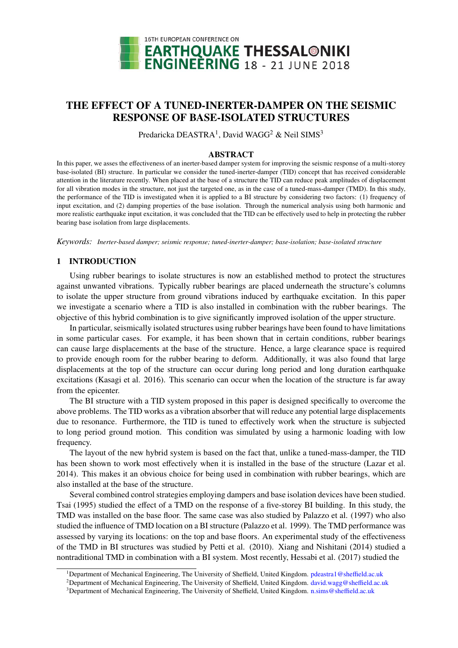

# THE EFFECT OF A TUNED-INERTER-DAMPER ON THE SEISMIC RESPONSE OF BASE-ISOLATED STRUCTURES

Predaricka DEASTRA<sup>1</sup>, David WAGG<sup>2</sup> & Neil SIMS<sup>3</sup>

#### ABSTRACT

In this paper, we asses the effectiveness of an inerter-based damper system for improving the seismic response of a multi-storey base-isolated (BI) structure. In particular we consider the tuned-inerter-damper (TID) concept that has received considerable attention in the literature recently. When placed at the base of a structure the TID can reduce peak amplitudes of displacement for all vibration modes in the structure, not just the targeted one, as in the case of a tuned-mass-damper (TMD). In this study, the performance of the TID is investigated when it is applied to a BI structure by considering two factors: (1) frequency of input excitation, and (2) damping properties of the base isolation. Through the numerical analysis using both harmonic and more realistic earthquake input excitation, it was concluded that the TID can be effectively used to help in protecting the rubber bearing base isolation from large displacements.

*Keywords: Inerter-based damper; seismic response; tuned-inerter-damper; base-isolation; base-isolated structure*

## 1 INTRODUCTION

Using rubber bearings to isolate structures is now an established method to protect the structures against unwanted vibrations. Typically rubber bearings are placed underneath the structure's columns to isolate the upper structure from ground vibrations induced by earthquake excitation. In this paper we investigate a scenario where a TID is also installed in combination with the rubber bearings. The objective of this hybrid combination is to give significantly improved isolation of the upper structure.

In particular, seismically isolated structures using rubber bearings have been found to have limitations in some particular cases. For example, it has been shown that in certain conditions, rubber bearings can cause large displacements at the base of the structure. Hence, a large clearance space is required to provide enough room for the rubber bearing to deform. Additionally, it was also found that large displacements at the top of the structure can occur during long period and long duration earthquake excitations (Kasagi et al. 2016). This scenario can occur when the location of the structure is far away from the epicenter.

The BI structure with a TID system proposed in this paper is designed specifically to overcome the above problems. The TID works as a vibration absorber that will reduce any potential large displacements due to resonance. Furthermore, the TID is tuned to effectively work when the structure is subjected to long period ground motion. This condition was simulated by using a harmonic loading with low frequency.

The layout of the new hybrid system is based on the fact that, unlike a tuned-mass-damper, the TID has been shown to work most effectively when it is installed in the base of the structure (Lazar et al. 2014). This makes it an obvious choice for being used in combination with rubber bearings, which are also installed at the base of the structure.

Several combined control strategies employing dampers and base isolation devices have been studied. Tsai (1995) studied the effect of a TMD on the response of a five-storey BI building. In this study, the TMD was installed on the base floor. The same case was also studied by Palazzo et al. (1997) who also studied the influence of TMD location on a BI structure (Palazzo et al. 1999). The TMD performance was assessed by varying its locations: on the top and base floors. An experimental study of the effectiveness of the TMD in BI structures was studied by Petti et al. (2010). Xiang and Nishitani (2014) studied a nontraditional TMD in combination with a BI system. Most recently, Hessabi et al. (2017) studied the

<sup>1</sup>Department of Mechanical Engineering, The University of Sheffield, United Kingdom. pdeastra1@sheffield.ac.uk

<sup>&</sup>lt;sup>2</sup>Department of Mechanical Engineering, The University of Sheffield, United Kingdom. david.wagg@sheffield.ac.uk

<sup>3</sup>Department of Mechanical Engineering, The University of Sheffield, United Kingdom. n.sims@sheffield.ac.uk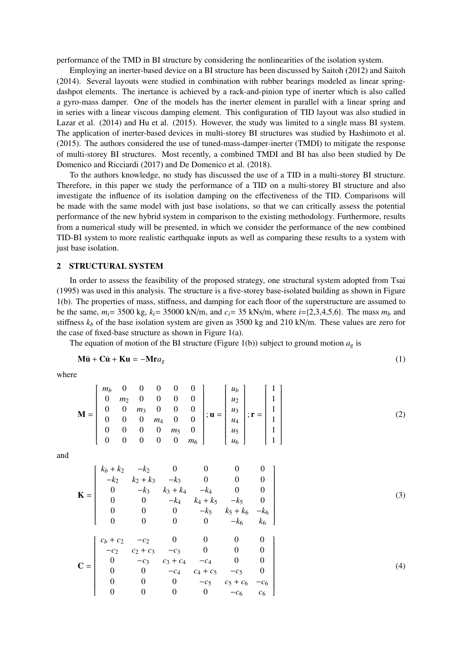performance of the TMD in BI structure by considering the nonlinearities of the isolation system.

Employing an inerter-based device on a BI structure has been discussed by Saitoh (2012) and Saitoh (2014). Several layouts were studied in combination with rubber bearings modeled as linear springdashpot elements. The inertance is achieved by a rack-and-pinion type of inerter which is also called a gyro-mass damper. One of the models has the inerter element in parallel with a linear spring and in series with a linear viscous damping element. This configuration of TID layout was also studied in Lazar et al. (2014) and Hu et al. (2015). However, the study was limited to a single mass BI system. The application of inerter-based devices in multi-storey BI structures was studied by Hashimoto et al. (2015). The authors considered the use of tuned-mass-damper-inerter (TMDI) to mitigate the response of multi-storey BI structures. Most recently, a combined TMDI and BI has also been studied by De Domenico and Ricciardi (2017) and De Domenico et al. (2018).

To the authors knowledge, no study has discussed the use of a TID in a multi-storey BI structure. Therefore, in this paper we study the performance of a TID on a multi-storey BI structure and also investigate the influence of its isolation damping on the effectiveness of the TID. Comparisons will be made with the same model with just base isolations, so that we can critically assess the potential performance of the new hybrid system in comparison to the existing methodology. Furthermore, results from a numerical study will be presented, in which we consider the performance of the new combined TID-BI system to more realistic earthquake inputs as well as comparing these results to a system with just base isolation.

### 2 STRUCTURAL SYSTEM

In order to assess the feasibility of the proposed strategy, one structural system adopted from Tsai (1995) was used in this analysis. The structure is a five-storey base-isolated building as shown in Figure 1(b). The properties of mass, stiffness, and damping for each floor of the superstructure are assumed to be the same,  $m_i$  = 3500 kg,  $k_i$  = 35000 kN/m, and  $c_i$  = 35 kNs/m, where  $i$  ={2,3,4,5,6}. The mass  $m_b$  and stiffness  $k_b$  of the base isolation system are given as 3500 kg and 210 kN/m. These values are zero for the case of fixed-base structure as shown in Figure 1(a).

The equation of motion of the BI structure (Figure 1(b)) subject to ground motion  $a_g$  is

$$
\mathbf{M}\ddot{\mathbf{u}} + \mathbf{C}\dot{\mathbf{u}} + \mathbf{K}\mathbf{u} = -\mathbf{M}\mathbf{r}a_g \tag{1}
$$

where

$$
\mathbf{M} = \begin{bmatrix} m_b & 0 & 0 & 0 & 0 & 0 \\ 0 & m_2 & 0 & 0 & 0 & 0 \\ 0 & 0 & m_3 & 0 & 0 & 0 \\ 0 & 0 & 0 & m_4 & 0 & 0 \\ 0 & 0 & 0 & 0 & m_5 & 0 \\ 0 & 0 & 0 & 0 & 0 & m_6 \end{bmatrix}; \mathbf{u} = \begin{bmatrix} u_b \\ u_2 \\ u_3 \\ u_4 \\ u_5 \\ u_6 \end{bmatrix}; \mathbf{r} = \begin{bmatrix} 1 \\ 1 \\ 1 \\ 1 \\ 1 \\ 1 \end{bmatrix}
$$
(2)

and

$$
\mathbf{K} = \begin{bmatrix} k_b + k_2 & -k_2 & 0 & 0 & 0 & 0 \\ -k_2 & k_2 + k_3 & -k_3 & 0 & 0 & 0 \\ 0 & -k_3 & k_3 + k_4 & -k_4 & 0 & 0 \\ 0 & 0 & -k_4 & k_4 + k_5 & -k_5 & 0 \\ 0 & 0 & 0 & -k_5 & k_5 + k_6 & -k_6 \\ 0 & 0 & 0 & 0 & -k_6 & k_6 \end{bmatrix}
$$
(3)  

$$
\mathbf{C} = \begin{bmatrix} c_b + c_2 & -c_2 & 0 & 0 & 0 & 0 \\ -c_2 & c_2 + c_3 & -c_3 & 0 & 0 & 0 \\ 0 & -c_3 & c_3 + c_4 & -c_4 & 0 & 0 \\ 0 & 0 & -c_4 & c_4 + c_5 & -c_5 & 0 \\ 0 & 0 & 0 & -c_5 & c_5 + c_6 & -c_6 \\ 0 & 0 & 0 & 0 & -c_6 & c_6 \end{bmatrix}
$$
(4)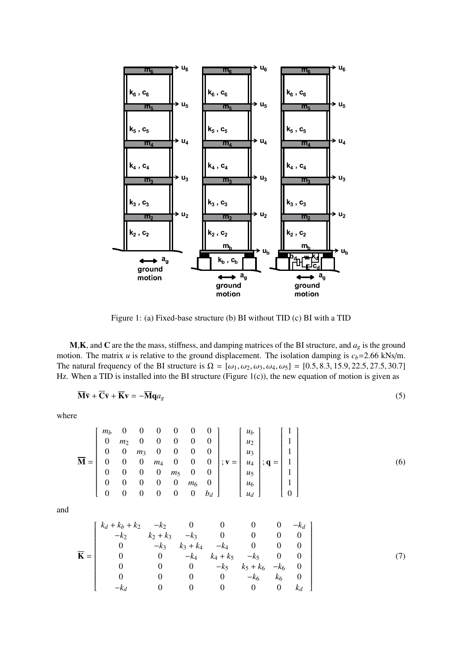

Figure 1: (a) Fixed-base structure (b) BI without TID (c) BI with a TID

M,K, and C are the the mass, stiffness, and damping matrices of the BI structure, and *a<sup>g</sup>* is the ground motion. The matrix *u* is relative to the ground displacement. The isolation damping is  $c_b$ =2.66 kNs/m. The natural frequency of the BI structure is  $\Omega = [\omega_1, \omega_2, \omega_3, \omega_4, \omega_5] = [0.5, 8.3, 15.9, 22.5, 27.5, 30.7]$ Hz. When a TID is installed into the BI structure (Figure 1(c)), the new equation of motion is given as

$$
\overline{\mathbf{M}}\ddot{\mathbf{v}} + \overline{\mathbf{C}}\dot{\mathbf{v}} + \overline{\mathbf{K}}\mathbf{v} = -\overline{\mathbf{M}}\mathbf{q}a_g
$$
 (5)

where

$$
\overline{\mathbf{M}} = \begin{bmatrix} m_b & 0 & 0 & 0 & 0 & 0 & 0 \\ 0 & m_2 & 0 & 0 & 0 & 0 & 0 \\ 0 & 0 & m_3 & 0 & 0 & 0 & 0 \\ 0 & 0 & 0 & m_4 & 0 & 0 & 0 \\ 0 & 0 & 0 & 0 & m_5 & 0 & 0 \\ 0 & 0 & 0 & 0 & 0 & m_6 & 0 \\ 0 & 0 & 0 & 0 & 0 & 0 & b_d \end{bmatrix}; \mathbf{v} = \begin{bmatrix} u_b \\ u_2 \\ u_3 \\ u_4 \\ u_5 \\ u_6 \\ u_7 \end{bmatrix}; \mathbf{q} = \begin{bmatrix} 1 \\ 1 \\ 1 \\ 1 \\ 1 \\ 1 \\ 0 \end{bmatrix}
$$
 (6)

and

$$
\overline{\mathbf{K}} = \begin{bmatrix} k_d + k_b + k_2 & -k_2 & 0 & 0 & 0 & 0 & -k_d \\ -k_2 & k_2 + k_3 & -k_3 & 0 & 0 & 0 & 0 \\ 0 & -k_3 & k_3 + k_4 & -k_4 & 0 & 0 & 0 \\ 0 & 0 & -k_4 & k_4 + k_5 & -k_5 & 0 & 0 \\ 0 & 0 & 0 & -k_5 & k_5 + k_6 & -k_6 & 0 \\ 0 & 0 & 0 & 0 & -k_6 & k_6 & 0 \\ -k_d & 0 & 0 & 0 & 0 & 0 & k_d \end{bmatrix}
$$
(7)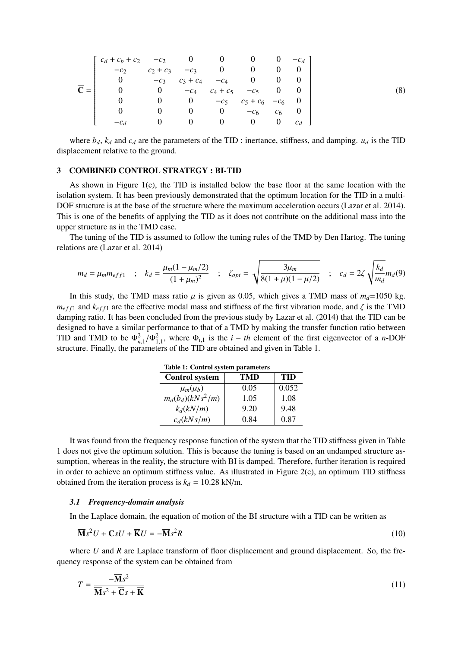$$
\overline{\mathbf{C}} = \begin{bmatrix}\n c_d + c_b + c_2 & -c_2 & 0 & 0 & 0 & 0 & -c_d \\
-c_2 & c_2 + c_3 & -c_3 & 0 & 0 & 0 & 0 \\
0 & -c_3 & c_3 + c_4 & -c_4 & 0 & 0 & 0 \\
0 & 0 & -c_4 & c_4 + c_5 & -c_5 & 0 & 0 \\
0 & 0 & 0 & -c_5 & c_5 + c_6 & -c_6 & 0 \\
0 & 0 & 0 & 0 & -c_6 & c_6 & 0 \\
-c_d & 0 & 0 & 0 & 0 & 0 & c_d\n\end{bmatrix}
$$
\n(8)

where  $b_d$ ,  $k_d$  and  $c_d$  are the parameters of the TID : inertance, stiffness, and damping.  $u_d$  is the TID displacement relative to the ground.

#### 3 COMBINED CONTROL STRATEGY : BI-TID

As shown in Figure 1(c), the TID is installed below the base floor at the same location with the isolation system. It has been previously demonstrated that the optimum location for the TID in a multi-DOF structure is at the base of the structure where the maximum acceleration occurs (Lazar et al. 2014). This is one of the benefits of applying the TID as it does not contribute on the additional mass into the upper structure as in the TMD case.

The tuning of the TID is assumed to follow the tuning rules of the TMD by Den Hartog. The tuning relations are (Lazar et al. 2014)

$$
m_d = \mu_m m_{eff1} \quad ; \quad k_d = \frac{\mu_m (1 - \mu_m / 2)}{(1 + \mu_m)^2} \quad ; \quad \zeta_{opt} = \sqrt{\frac{3\mu_m}{8(1 + \mu)(1 - \mu / 2)}} \quad ; \quad c_d = 2\zeta \sqrt{\frac{k_d}{m_d}} m_d(9)
$$

In this study, the TMD mass ratio  $\mu$  is given as 0.05, which gives a TMD mass of  $m_d$ =1050 kg.  $m_{eff1}$  and  $k_{eff1}$  are the effective modal mass and stiffness of the first vibration mode, and  $\zeta$  is the TMD damping ratio. It has been concluded from the previous study by Lazar et al. (2014) that the TID can be designed to have a similar performance to that of a TMD by making the transfer function ratio between TID and TMD to be  $\Phi_{n,1}^2/\Phi_{1,1}^2$ , where  $\Phi_{i,1}$  is the *i* − *th* element of the first eigenvector of a *n*-DOF structure. Finally, the parameters of the TID are obtained and given in Table 1. structure. Finally, the parameters of the TID are obtained and given in Table 1.

| <b>Control system</b> | TMD  | TID   |
|-----------------------|------|-------|
| $\mu_m(\mu_b)$        | 0.05 | 0.052 |
| $m_d(b_d)(kNs^2/m)$   | 1.05 | 1.08  |
| $k_d(kN/m)$           | 9.20 | 9.48  |
| $c_d(kNs/m)$          | 0.84 | 0.87  |

Table 1: Control system parameters

It was found from the frequency response function of the system that the TID stiffness given in Table 1 does not give the optimum solution. This is because the tuning is based on an undamped structure assumption, whereas in the reality, the structure with BI is damped. Therefore, further iteration is required in order to achieve an optimum stiffness value. As illustrated in Figure  $2(c)$ , an optimum TID stiffness obtained from the iteration process is  $k_d = 10.28$  kN/m.

### *3.1 Frequency-domain analysis*

In the Laplace domain, the equation of motion of the BI structure with a TID can be written as

$$
\overline{\mathbf{M}}s^2U + \overline{\mathbf{C}}sU + \overline{\mathbf{K}}U = -\overline{\mathbf{M}}s^2R
$$
 (10)

where *U* and *R* are Laplace transform of floor displacement and ground displacement. So, the frequency response of the system can be obtained from

$$
T = \frac{-\overline{\mathbf{M}}s^2}{\overline{\mathbf{M}}s^2 + \overline{\mathbf{C}}s + \overline{\mathbf{K}}}
$$
(11)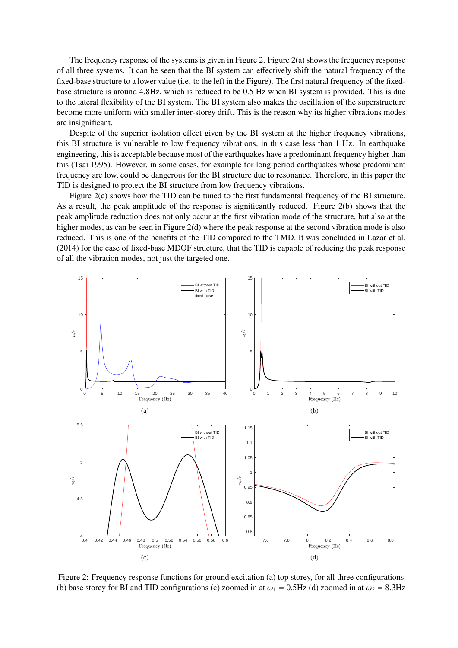The frequency response of the systems is given in Figure 2. Figure 2(a) shows the frequency response of all three systems. It can be seen that the BI system can effectively shift the natural frequency of the fixed-base structure to a lower value (i.e. to the left in the Figure). The first natural frequency of the fixedbase structure is around 4.8Hz, which is reduced to be 0.5 Hz when BI system is provided. This is due to the lateral flexibility of the BI system. The BI system also makes the oscillation of the superstructure become more uniform with smaller inter-storey drift. This is the reason why its higher vibrations modes are insignificant.

Despite of the superior isolation effect given by the BI system at the higher frequency vibrations, this BI structure is vulnerable to low frequency vibrations, in this case less than 1 Hz. In earthquake engineering, this is acceptable because most of the earthquakes have a predominant frequency higher than this (Tsai 1995). However, in some cases, for example for long period earthquakes whose predominant frequency are low, could be dangerous for the BI structure due to resonance. Therefore, in this paper the TID is designed to protect the BI structure from low frequency vibrations.

Figure 2(c) shows how the TID can be tuned to the first fundamental frequency of the BI structure. As a result, the peak amplitude of the response is significantly reduced. Figure 2(b) shows that the peak amplitude reduction does not only occur at the first vibration mode of the structure, but also at the higher modes, as can be seen in Figure 2(d) where the peak response at the second vibration mode is also reduced. This is one of the benefits of the TID compared to the TMD. It was concluded in Lazar et al. (2014) for the case of fixed-base MDOF structure, that the TID is capable of reducing the peak response of all the vibration modes, not just the targeted one.



Figure 2: Frequency response functions for ground excitation (a) top storey, for all three configurations (b) base storey for BI and TID configurations (c) zoomed in at  $\omega_1 = 0.5$ Hz (d) zoomed in at  $\omega_2 = 8.3$ Hz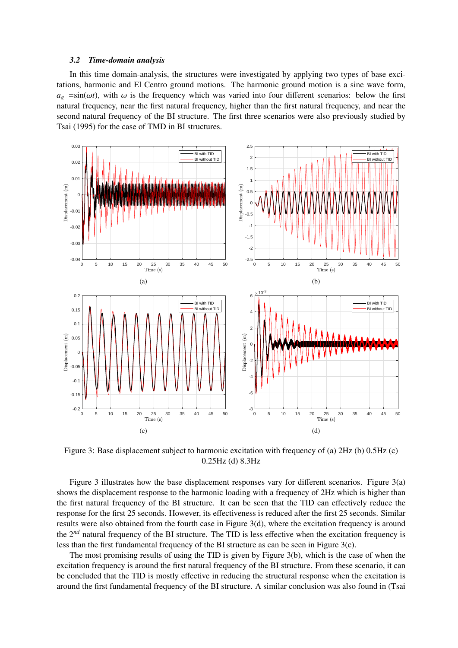#### *3.2 Time-domain analysis*

In this time domain-analysis, the structures were investigated by applying two types of base excitations, harmonic and El Centro ground motions. The harmonic ground motion is a sine wave form,  $a_g = \sin(\omega t)$ , with  $\omega$  is the frequency which was varied into four different scenarios: below the first natural frequency, near the first natural frequency, higher than the first natural frequency, and near the second natural frequency of the BI structure. The first three scenarios were also previously studied by Tsai (1995) for the case of TMD in BI structures.



Figure 3: Base displacement subject to harmonic excitation with frequency of (a) 2Hz (b) 0.5Hz (c) 0.25Hz (d) 8.3Hz

Figure 3 illustrates how the base displacement responses vary for different scenarios. Figure 3(a) shows the displacement response to the harmonic loading with a frequency of 2Hz which is higher than the first natural frequency of the BI structure. It can be seen that the TID can effectively reduce the response for the first 25 seconds. However, its effectiveness is reduced after the first 25 seconds. Similar results were also obtained from the fourth case in Figure 3(d), where the excitation frequency is around the 2<sup>nd</sup> natural frequency of the BI structure. The TID is less effective when the excitation frequency is less than the first fundamental frequency of the BI structure as can be seen in Figure 3(c).

The most promising results of using the TID is given by Figure 3(b), which is the case of when the excitation frequency is around the first natural frequency of the BI structure. From these scenario, it can be concluded that the TID is mostly effective in reducing the structural response when the excitation is around the first fundamental frequency of the BI structure. A similar conclusion was also found in (Tsai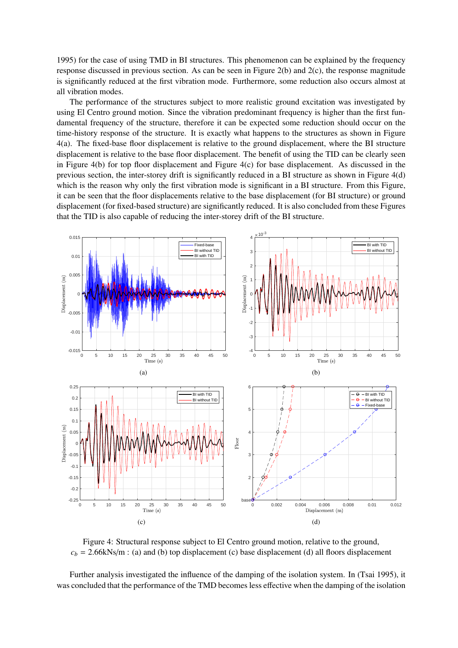1995) for the case of using TMD in BI structures. This phenomenon can be explained by the frequency response discussed in previous section. As can be seen in Figure 2(b) and 2(c), the response magnitude is significantly reduced at the first vibration mode. Furthermore, some reduction also occurs almost at all vibration modes.

The performance of the structures subject to more realistic ground excitation was investigated by using El Centro ground motion. Since the vibration predominant frequency is higher than the first fundamental frequency of the structure, therefore it can be expected some reduction should occur on the time-history response of the structure. It is exactly what happens to the structures as shown in Figure 4(a). The fixed-base floor displacement is relative to the ground displacement, where the BI structure displacement is relative to the base floor displacement. The benefit of using the TID can be clearly seen in Figure 4(b) for top floor displacement and Figure 4(c) for base displacement. As discussed in the previous section, the inter-storey drift is significantly reduced in a BI structure as shown in Figure 4(d) which is the reason why only the first vibration mode is significant in a BI structure. From this Figure, it can be seen that the floor displacements relative to the base displacement (for BI structure) or ground displacement (for fixed-based structure) are significantly reduced. It is also concluded from these Figures that the TID is also capable of reducing the inter-storey drift of the BI structure.



Figure 4: Structural response subject to El Centro ground motion, relative to the ground,  $c_b$  = 2.66kNs/m : (a) and (b) top displacement (c) base displacement (d) all floors displacement

Further analysis investigated the influence of the damping of the isolation system. In (Tsai 1995), it was concluded that the performance of the TMD becomes less effective when the damping of the isolation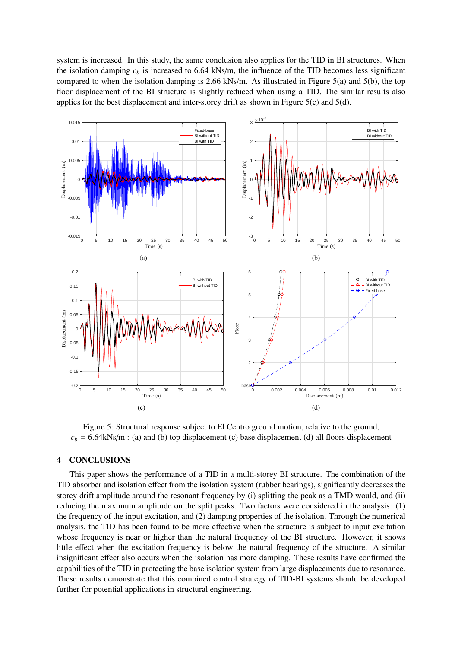system is increased. In this study, the same conclusion also applies for the TID in BI structures. When the isolation damping  $c<sub>b</sub>$  is increased to 6.64 kNs/m, the influence of the TID becomes less significant compared to when the isolation damping is 2.66 kNs/m. As illustrated in Figure 5(a) and 5(b), the top floor displacement of the BI structure is slightly reduced when using a TID. The similar results also applies for the best displacement and inter-storey drift as shown in Figure 5(c) and 5(d).



Figure 5: Structural response subject to El Centro ground motion, relative to the ground,  $c_b$  = 6.64kNs/m : (a) and (b) top displacement (c) base displacement (d) all floors displacement

### 4 CONCLUSIONS

This paper shows the performance of a TID in a multi-storey BI structure. The combination of the TID absorber and isolation effect from the isolation system (rubber bearings), significantly decreases the storey drift amplitude around the resonant frequency by (i) splitting the peak as a TMD would, and (ii) reducing the maximum amplitude on the split peaks. Two factors were considered in the analysis: (1) the frequency of the input excitation, and (2) damping properties of the isolation. Through the numerical analysis, the TID has been found to be more effective when the structure is subject to input excitation whose frequency is near or higher than the natural frequency of the BI structure. However, it shows little effect when the excitation frequency is below the natural frequency of the structure. A similar insignificant effect also occurs when the isolation has more damping. These results have confirmed the capabilities of the TID in protecting the base isolation system from large displacements due to resonance. These results demonstrate that this combined control strategy of TID-BI systems should be developed further for potential applications in structural engineering.